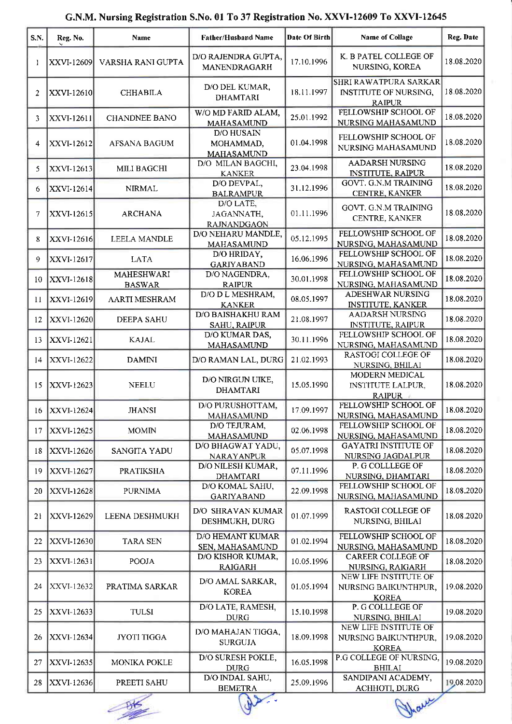| S.N.         | Reg. No.          | Name                               | <b>Father/Husband Name</b>                          | Date Of Birth | <b>Name of Collage</b>                                                 | Reg. Date  |
|--------------|-------------------|------------------------------------|-----------------------------------------------------|---------------|------------------------------------------------------------------------|------------|
| 1            | XXVI-12609        | VARSHA RANI GUPTA                  | D/O RAJENDRA GUPTA,<br>MANENDRAGARH                 | 17.10.1996    | K. B PATEL COLLEGE OF<br>NURSING, KOREA                                | 18.08.2020 |
| $\mathbf{2}$ | XXVI-12610        | <b>CHHABILA</b>                    | D/O DEL KUMAR,<br><b>DHAMTARI</b>                   | 18.11.1997    | SHRI RAWATPURA SARKAR<br><b>INSTITUTE OF NURSING,</b><br><b>RAIPUR</b> | 18.08.2020 |
| 3            | XXVI-12611        | <b>CHANDNEE BANO</b>               | W/O MD FARID ALAM,<br><b>MAHASAMUND</b>             | 25.01.1992    | FELLOWSHIP SCHOOL OF<br>NURSING MAHASAMUND                             | 18.08.2020 |
| 4            | XXVI-12612        | <b>AFSANA BAGUM</b>                | <b>D/O HUSAIN</b><br>MOHAMMAD,<br><b>MAHASAMUND</b> | 01.04.1998    | FELLOWSHIP SCHOOL OF<br>NURSING MAHASAMUND                             | 18.08.2020 |
| 5            | XXVI-12613        | <b>MILI BAGCHI</b>                 | D/O MILAN BAGCHI,<br><b>KANKER</b>                  | 23.04.1998    | <b>AADARSH NURSING</b><br><b>INSTITUTE, RAIPUR</b>                     | 18.08.2020 |
| 6.           | XXVI-12614        | <b>NIRMAL</b>                      | D/O DEVPAL,<br><b>BALRAMPUR</b>                     | 31.12.1996    | <b>GOVT. G.N.M TRAINING</b><br>CENTRE, KANKER                          | 18.08.2020 |
| 7            | XXVI-12615        | <b>ARCHANA</b>                     | D/O LATE,<br>JAGANNATH,<br><b>RAJNANDGAON</b>       | 01.11.1996    | <b>GOVT. G.N.M TRAINING</b><br>CENTRE, KANKER                          | 18.08.2020 |
| 8            | <b>XXVI-12616</b> | LEELA MANDLE                       | D/O NEHARU MANDLE,<br>MAHASAMUND                    | 05.12.1995    | FELLOWSHIP SCHOOL OF<br>NURSING, MAHASAMUND                            | 18.08.2020 |
| 9            | XXVI-12617        | LATA                               | D/O HRIDAY,<br><b>GARIYABAND</b>                    | 16.06.1996    | FELLOWSHIP SCHOOL OF<br>NURSING, MAHASAMUND                            | 18.08.2020 |
| 10           | XXVI-12618        | <b>MAHESHWARI</b><br><b>BASWAR</b> | D/O NAGENDRA,<br><b>RAIPUR</b>                      | 30.01.1998    | FELLOWSHIP SCHOOL OF<br>NURSING, MAHASAMUND                            | 18.08.2020 |
| 11           | XXVI-12619        | AARTI MESHRAM                      | D/O D L MESHRAM,<br><b>KANKER</b>                   | 08.05.1997    | <b>ADESHWAR NURSING</b><br><b>INSTITUTE, KANKER</b>                    | 18.08.2020 |
| 12           | XXVI-12620        | <b>DEEPA SAHU</b>                  | D/O BAISHAKHU RAM<br>SAHU, RAIPUR                   | 21.08.1997    | <b>AADARSH NURSING</b><br><b>INSTITUTE, RAIPUR</b>                     | 18.08.2020 |
| 13           | XXVI-12621        | <b>KAJAL</b>                       | D/O KUMAR DAS,<br><b>MAHASAMUND</b>                 | 30.11.1996    | FELLOWSHIP SCHOOL OF<br>NURSING, MAHASAMUND                            | 18.08.2020 |
| 14           | <b>XXVI-12622</b> | <b>DAMINI</b>                      | D/O RAMAN LAL, DURG                                 | 21.02.1993    | <b>RASTOGI COLLEGE OF</b><br>NURSING, BHILAI                           | 18.08.2020 |
| 15           | XXVI-12623        | <b>NEELU</b>                       | D/O NIRGUN UIKE,<br><b>DHAMTARI</b>                 | 15.05.1990    | <b>MODERN MEDICAL</b><br><b>INSTITUTE LALPUR,</b><br><b>RAIPUR</b>     | 18.08.2020 |
| 16           | XXVI-12624        | JHANSI                             | D/O PURUSHOTTAM,<br><b>MAHASAMUND</b>               | 17.09.1997    | FELLOWSHIP SCHOOL OF<br>NURSING, MAHASAMUND                            | 18.08.2020 |
| 17           | XXVI-12625        | <b>MOMIN</b>                       | D/O TEJURAM,<br>MAHASAMUND                          | 02.06.1998    | FELLOWSHIP SCHOOL OF<br>NURSING, MAHASAMUND                            | 18.08.2020 |
| 18           | <b>XXVI-12626</b> | <b>SANGITA YADU</b>                | D/O BHAGWAT YADU,<br><b>NARAYANPUR</b>              | 05.07.1998    | <b>GAYATRI INSTITUTE OF</b><br>NURSING JAGDALPUR                       | 18.08.2020 |
| 19           | XXVI-12627        | <b>PRATIKSHA</b>                   | D/O NILESH KUMAR,<br><b>DHAMTARI</b>                | 07.11.1996    | P. G COLLLEGE OF<br>NURSING, DHAMTARI                                  | 18.08.2020 |
| 20           | <b>XXVI-12628</b> | <b>PURNIMA</b>                     | D/O KOMAL SAHU,<br>GARIYABAND                       | 22.09.1998    | FELLOWSHIP SCHOOL OF<br>NURSING, MAHASAMUND                            | 18.08.2020 |
| 21           | XXVI-12629        | LEENA DESHMUKH                     | D/O SHRAVAN KUMAR<br>DESHMUKH, DURG                 | 01.07.1999    | <b>RASTOGI COLLEGE OF</b><br>NURSING, BHILAI                           | 18.08.2020 |
| 22           | XXVI-12630        | <b>TARA SEN</b>                    | <b>D/O HEMANT KUMAR</b><br>SEN, MAHASAMUND          | 01.02.1994    | FELLOWSHIP SCHOOL OF<br>NURSING, MAHASAMUND                            | 18.08.2020 |
| 23           | XXVI-12631        | <b>POOJA</b>                       | D/O KISHOR KUMAR,<br><b>RAIGARH</b>                 | 10.05.1996    | <b>CAREER COLLEGE OF</b><br>NURSING, RAIGARH                           | 18.08.2020 |
| 24           | XXVI-12632        | PRATIMA SARKAR                     | D/O AMAL SARKAR,<br><b>KOREA</b>                    | 01.05.1994    | NEW LIFE INSTITUTE OF<br>NURSING BAIKUNTHPUR,<br><b>KOREA</b>          | 19.08.2020 |
| 25           | <b>XXVI-12633</b> | <b>TULSI</b>                       | D/O LATE, RAMESH,<br><b>DURG</b>                    | 15.10.1998    | P. G COLLLEGE OF<br>NURSING, BHILAI                                    | 19.08.2020 |
| 26           | <b>XXVI-12634</b> | JYOTI TIGGA                        | D/O MAHAJAN TIGGA,<br><b>SURGUJA</b>                | 18.09.1998    | NEW LIFE INSTITUTE OF<br>NURSING BAIKUNTHPUR,<br><b>KOREA</b>          | 19.08.2020 |
| 27           | XXVI-12635        | <b>MONIKA POKLE</b>                | D/O SURESH POKLE,<br><b>DURG</b>                    | 16.05.1998    | P.G COLLEGE OF NURSING,<br><b>BHILAI</b>                               | 19.08.2020 |
| 28           | <b>XXVI-12636</b> | PREETI SAHU                        | D/O INDAL SAHU,<br><b>BEMETRA</b>                   | 25.09.1996    | SANDIPANI ACADEMY,<br>ACHHOTI, DURG                                    | 19,08.2020 |

## G.N.M. Nursing Registration S.No.01 To 37 Registration No. XX\II-12609 To XXVI-12645